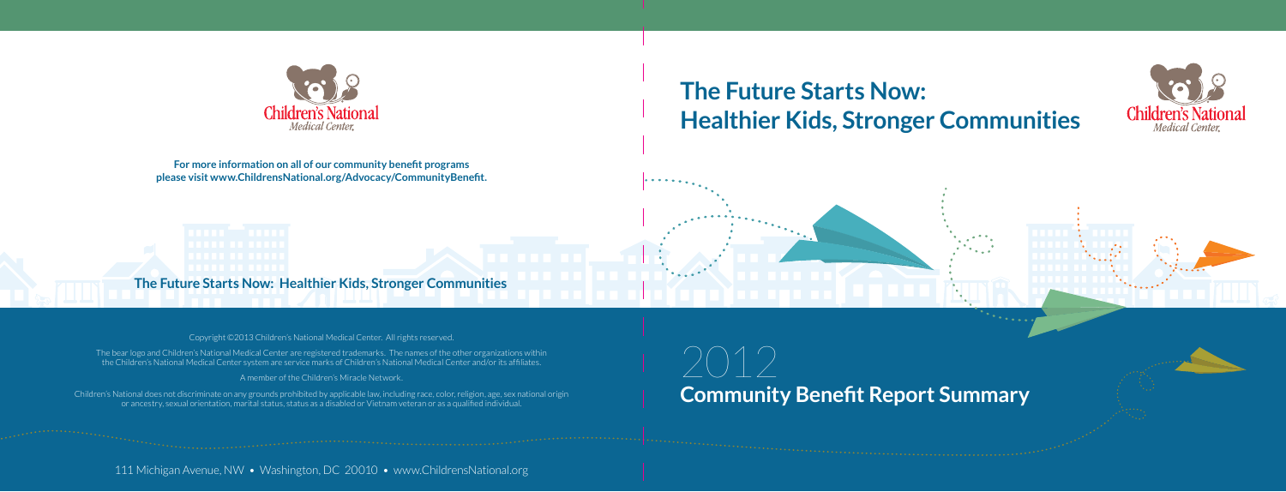## **The Future Starts Now: Healthier Kids, Stronger Communities**

**The Future Starts Now: Healthier Kids, Stronger Communities**

# **Community Benefit Report Summary**  $\bigcirc$  ( )  $\bigcirc$



**For more information on all of our community benefit programs please visit www.ChildrensNational.org/Advocacy/CommunityBenefit.**

111 Michigan Avenue, NW • Washington, DC 20010 • www.ChildrensNational.org



Copyright ©2013 Children's National Medical Center. All rights reserved.

The bear logo and Children's National Medical Center are registered trademarks. The names of the other organizations within the Children's National Medical Center system are service marks of Children's National Medical Center and/or its affiliates.

A member of the Children's Miracle Network.

Children's National does not discriminate on any grounds prohibited by applicable law, including race, color, religion, age, sex national origin or ancestry, sexual orientation, marital status, status as a disabled or Vietnam veteran or as a qualified individual.